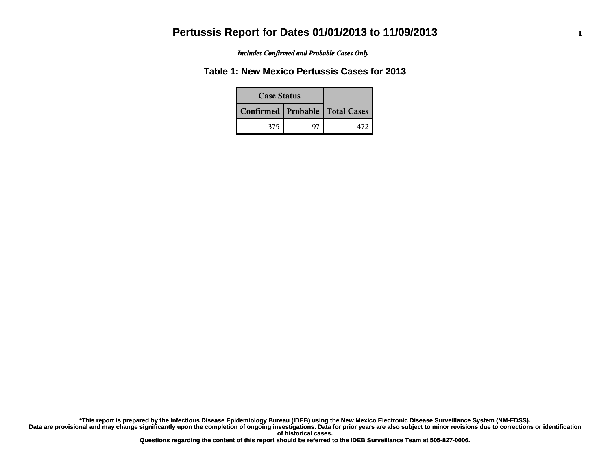*Includes Confirmed and Probable Cases Only*

### **Table 1: New Mexico Pertussis Cases for 2013**

| <b>Case Status</b> |  |                                    |
|--------------------|--|------------------------------------|
|                    |  | Confirmed   Probable   Total Cases |
| 375                |  |                                    |

**Data are provisional and may change significantly upon the completion of ongoing investigations. Data for prior years are also subject to minor revisions due to corrections or identification of historical cases. \*This report is prepared by the Infectious Disease Epidemiology Bureau (IDEB) using the New Mexico Electronic Disease Surveillance System (NM-EDSS).**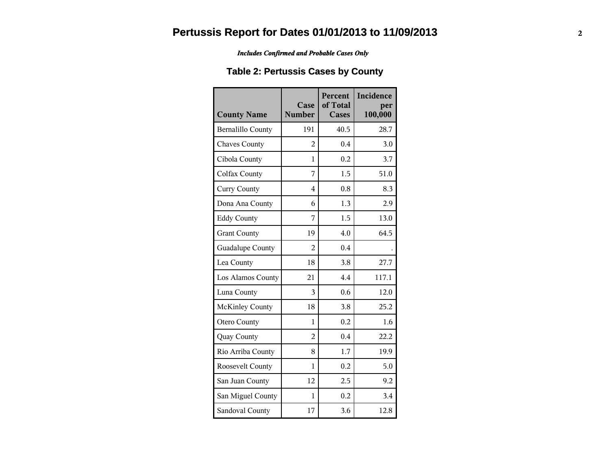#### *Includes Confirmed and Probable Cases Only*

### **Table 2: Pertussis Cases by County**

| <b>County Name</b>       | Case<br><b>Number</b> | Percent<br>of Total<br><b>Cases</b> | Incidence<br>per<br>100,000 |
|--------------------------|-----------------------|-------------------------------------|-----------------------------|
| <b>Bernalillo County</b> | 191                   | 40.5                                | 28.7                        |
| <b>Chaves County</b>     | $\overline{2}$        | 0.4                                 | 3.0                         |
| Cibola County            | 1                     | 0.2                                 | 3.7                         |
| Colfax County            | 7                     | 1.5                                 | 51.0                        |
| <b>Curry County</b>      | $\overline{4}$        | 0.8                                 | 8.3                         |
| Dona Ana County          | 6                     | 1.3                                 | 2.9                         |
| <b>Eddy County</b>       | 7                     | 1.5                                 | 13.0                        |
| <b>Grant County</b>      | 19                    | 4.0                                 | 64.5                        |
| Guadalupe County         | 2                     | 0.4                                 |                             |
| Lea County               | 18                    | 3.8                                 | 27.7                        |
| Los Alamos County        | 21                    | 4.4                                 | 117.1                       |
| Luna County              | 3                     | 0.6                                 | 12.0                        |
| <b>McKinley County</b>   | 18                    | 3.8                                 | 25.2                        |
| <b>Otero County</b>      | 1                     | 0.2                                 | 1.6                         |
| Quay County              | $\overline{2}$        | 0.4                                 | 22.2                        |
| Rio Arriba County        | 8                     | 1.7                                 | 19.9                        |
| Roosevelt County         | 1                     | 0.2                                 | 5.0                         |
| San Juan County          | 12                    | 2.5                                 | 9.2                         |
| San Miguel County        | $\mathbf{1}$          | 0.2                                 | 3.4                         |
| Sandoval County          | 17                    | 3.6                                 | 12.8                        |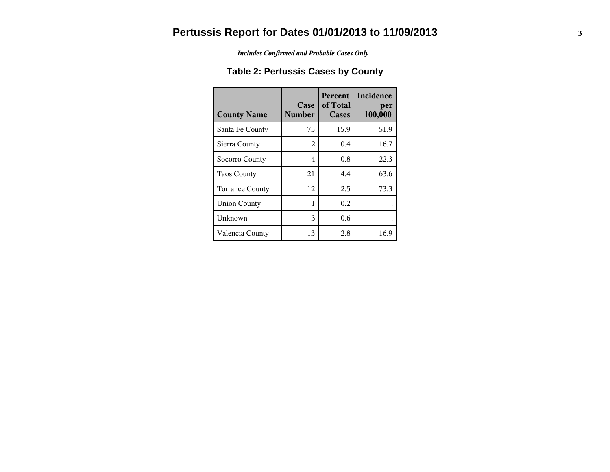*Includes Confirmed and Probable Cases Only*

### **Table 2: Pertussis Cases by County**

| <b>County Name</b>     | Case<br><b>Number</b> | <b>Percent</b><br>of Total<br><b>Cases</b> | Incidence<br>per<br>100,000 |
|------------------------|-----------------------|--------------------------------------------|-----------------------------|
| Santa Fe County        | 75                    | 15.9                                       | 51.9                        |
| Sierra County          | 2                     | $0.4^{\circ}$                              | 16.7                        |
| Socorro County         | 4                     | 0.8                                        | 22.3                        |
| <b>Taos County</b>     | 21                    | 4.4                                        | 63.6                        |
| <b>Torrance County</b> | 12                    | 2.5                                        | 73.3                        |
| <b>Union County</b>    |                       | 0.2                                        |                             |
| Unknown                | 3                     | 0.6                                        |                             |
| Valencia County        | 13                    | 2.8                                        | 16.9                        |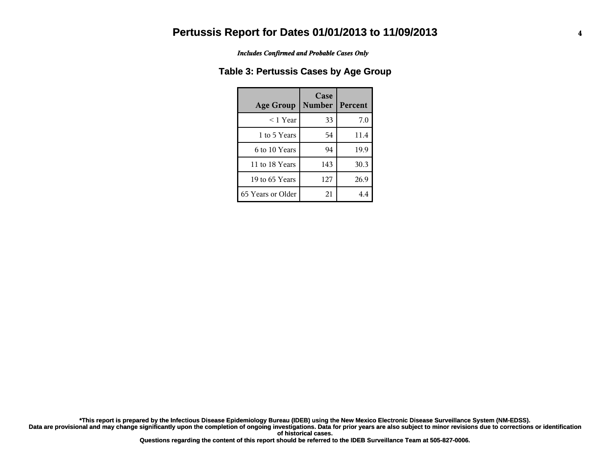*Includes Confirmed and Probable Cases Only*

#### **Table 3: Pertussis Cases by Age Group**

| <b>Age Group</b>  | Case<br><b>Number</b> | Percent |
|-------------------|-----------------------|---------|
| $<$ 1 Year        | 33                    | 7.0     |
| 1 to 5 Years      | 54                    | 11.4    |
| 6 to 10 Years     | 94                    | 19.9    |
| 11 to 18 Years    | 143                   | 30.3    |
| 19 to 65 Years    | 127                   | 26.9    |
| 65 Years or Older | 21                    | 4.4     |

**Data are provisional and may change significantly upon the completion of ongoing investigations. Data for prior years are also subject to minor revisions due to corrections or identification of historical cases. \*This report is prepared by the Infectious Disease Epidemiology Bureau (IDEB) using the New Mexico Electronic Disease Surveillance System (NM-EDSS).**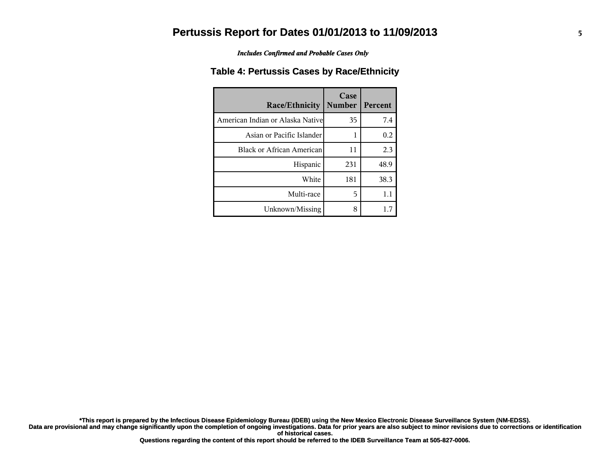*Includes Confirmed and Probable Cases Only*

#### **Table 4: Pertussis Cases by Race/Ethnicity**

| Race/Ethnicity                    | Case<br><b>Number</b> | Percent |
|-----------------------------------|-----------------------|---------|
| American Indian or Alaska Nativel | 35                    | 7.4     |
| Asian or Pacific Islander         |                       | 0.2     |
| <b>Black or African American</b>  | 11                    | 2.3     |
| Hispanic                          | 231                   | 48.9    |
| White                             | 181                   | 38.3    |
| Multi-race                        | 5                     | 1.1     |
| Unknown/Missing                   | 8                     | 1.7     |

**Data are provisional and may change significantly upon the completion of ongoing investigations. Data for prior years are also subject to minor revisions due to corrections or identification \*This report is prepared by the Infectious Disease Epidemiology Bureau (IDEB) using the New Mexico Electronic Disease Surveillance System (NM-EDSS).**

**of historical cases.**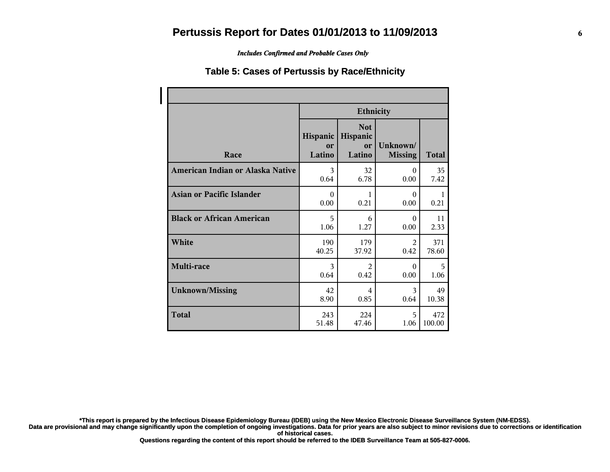*Includes Confirmed and Probable Cases Only*

#### **Table 5: Cases of Pertussis by Race/Ethnicity**

|                                  | <b>Ethnicity</b>         |                                        |                            |              |
|----------------------------------|--------------------------|----------------------------------------|----------------------------|--------------|
| Race                             | Hispanic<br>or<br>Latino | <b>Not</b><br>Hispanic<br>or<br>Latino | Unknown/<br><b>Missing</b> | <b>Total</b> |
| American Indian or Alaska Native | 3                        | 32                                     | $\theta$                   | 35           |
|                                  | 0.64                     | 6.78                                   | 0.00                       | 7.42         |
| Asian or Pacific Islander        | $\Omega$                 | 1                                      | $\Omega$                   | $\mathbf{1}$ |
|                                  | 0.00                     | 0.21                                   | 0.00                       | 0.21         |
| <b>Black or African American</b> | 5                        | 6                                      | $\theta$                   | 11           |
|                                  | 1.06                     | 1.27                                   | 0.00                       | 2.33         |
| White                            | 190                      | 179                                    | $\mathfrak{D}$             | 371          |
|                                  | 40.25                    | 37.92                                  | 0.42                       | 78.60        |
| Multi-race                       | 3                        | $\mathfrak{D}$                         | $\Omega$                   | 5            |
|                                  | 0.64                     | 0.42                                   | 0.00                       | 1.06         |
| <b>Unknown/Missing</b>           | 42                       | 4                                      | 3                          | 49           |
|                                  | 8.90                     | 0.85                                   | 0.64                       | 10.38        |
| <b>Total</b>                     | 243                      | 224                                    | 5                          | 472          |
|                                  | 51.48                    | 47.46                                  | 1.06                       | 100.00       |

**\*This report is prepared by the Infectious Disease Epidemiology Bureau (IDEB) using the New Mexico Electronic Disease Surveillance System (NM-EDSS).**

**Data are provisional and may change significantly upon the completion of ongoing investigations. Data for prior years are also subject to minor revisions due to corrections or identification of historical cases.**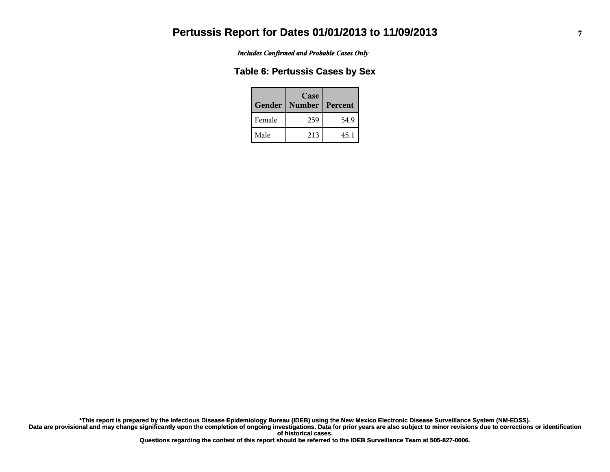*Includes Confirmed and Probable Cases Only*

#### **Table 6: Pertussis Cases by Sex**

| Gender | Case<br><b>Number</b> | Percent |
|--------|-----------------------|---------|
| Female | 259                   | 54.9    |
| Male   | 213                   | 45.1    |

**Data are provisional and may change significantly upon the completion of ongoing investigations. Data for prior years are also subject to minor revisions due to corrections or identification of historical cases. \*This report is prepared by the Infectious Disease Epidemiology Bureau (IDEB) using the New Mexico Electronic Disease Surveillance System (NM-EDSS).**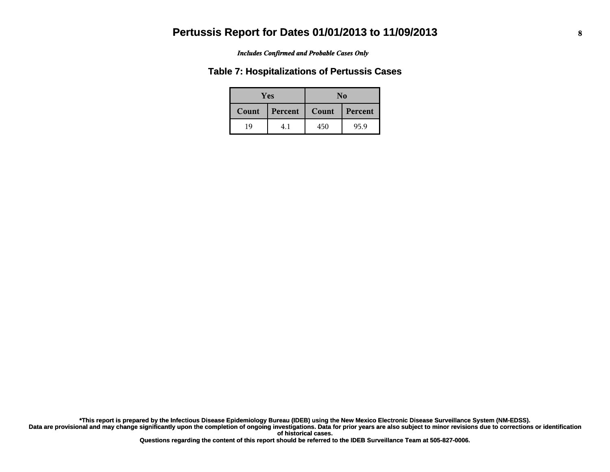#### *Includes Confirmed and Probable Cases Only*

#### **Table 7: Hospitalizations of Pertussis Cases**

| <b>Yes</b> |         |       | No      |
|------------|---------|-------|---------|
| Count      | Percent | Count | Percent |
| 19         |         | 450   | 95.9    |

**Data are provisional and may change significantly upon the completion of ongoing investigations. Data for prior years are also subject to minor revisions due to corrections or identification of historical cases. \*This report is prepared by the Infectious Disease Epidemiology Bureau (IDEB) using the New Mexico Electronic Disease Surveillance System (NM-EDSS).**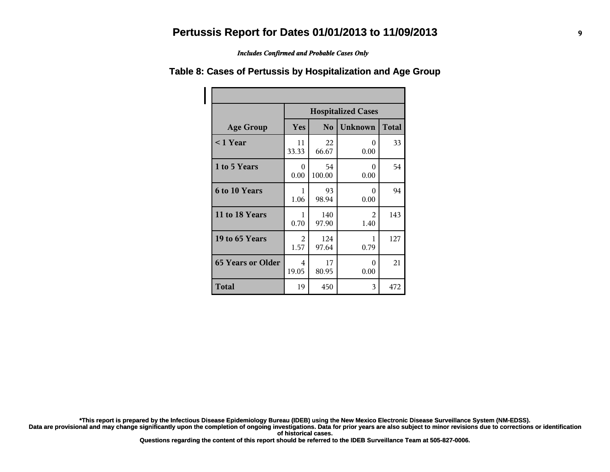*Includes Confirmed and Probable Cases Only*

|                          | <b>Hospitalized Cases</b> |              |                  |              |
|--------------------------|---------------------------|--------------|------------------|--------------|
| <b>Age Group</b>         | Yes                       | No           | <b>Unknown</b>   | <b>Total</b> |
| $\leq$ 1 Year            | 11<br>33.33               | 22<br>66.67  | $\Omega$<br>0.00 | 33           |
| 1 to 5 Years             | 0<br>0.00                 | 54<br>100.00 | $\Omega$<br>0.00 | 54           |
| 6 to 10 Years            | 1<br>1.06                 | 93<br>98.94  | 0<br>0.00        | 94           |
| 11 to 18 Years           | 1<br>0.70                 | 140<br>97.90 | 2<br>1.40        | 143          |
| 19 to 65 Years           | 2<br>1.57                 | 124<br>97.64 | 1<br>0.79        | 127          |
| <b>65 Years or Older</b> | 4<br>19.05                | 17<br>80.95  | $\Omega$<br>0.00 | 21           |
| <b>Total</b>             | 19                        | 450          | 3                | 472          |

#### **Table 8: Cases of Pertussis by Hospitalization and Age Group**

**\*This report is prepared by the Infectious Disease Epidemiology Bureau (IDEB) using the New Mexico Electronic Disease Surveillance System (NM-EDSS).**

**Data are provisional and may change significantly upon the completion of ongoing investigations. Data for prior years are also subject to minor revisions due to corrections or identification of historical cases.**